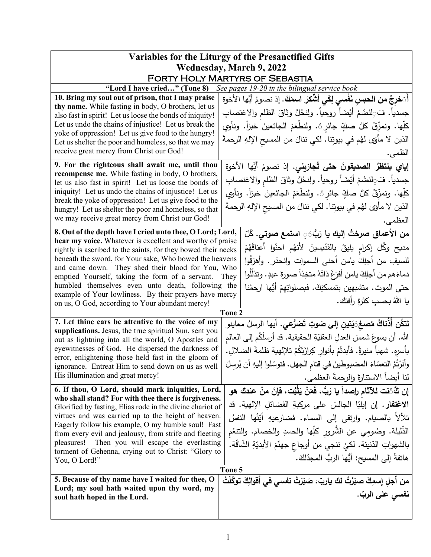| Variables for the Liturgy of the Presanctified Gifts                                                                     |                                                                                     |  |  |  |
|--------------------------------------------------------------------------------------------------------------------------|-------------------------------------------------------------------------------------|--|--|--|
| <b>Wednesday, March 9, 2022</b>                                                                                          |                                                                                     |  |  |  |
|                                                                                                                          | <b>FORTY HOLY MARTYRS OF SEBASTIA</b>                                               |  |  |  |
| "Lord I have cried" (Tone 8)<br>10. Bring my soul out of prison, that I may praise                                       | See pages 19-20 in the bilingual service book                                       |  |  |  |
| thy name. While fasting in body, O brothers, let us                                                                      | ِ أَرَ <b>خرِجْ من الحبسِ نَفْسي لِكَيِ أَشْكَرَ اسمَكَ.</b> إذ نصومُ أيِّها الأخوة |  |  |  |
| also fast in spirit! Let us loose the bonds of iniquity!                                                                 | جسدياً. فَ£ِلنَضُمْ أَيْضَاً روحياً. ولنحُلَّ وثاقَ الظلم والاغتصابِ                |  |  |  |
| Let us undo the chains of injustice! Let us break the                                                                    | كلِّها. ونمزِّقْ كلَّ صكٍّ جائرٍ هَ. ولنطْعَمْ الجائعينَ خبزاً. ونأوي               |  |  |  |
| yoke of oppression! Let us give food to the hungry!<br>Let us shelter the poor and homeless, so that we may              | الذين لا مأوَى لَهُم في بيوتِنا. لكي ننالَ من المسيح الإلهِ الرحمةَ                 |  |  |  |
| receive great mercy from Christ our God!                                                                                 | الظمى.                                                                              |  |  |  |
| 9. For the righteous shall await me, until thou                                                                          | إ <b>ياي ينتظرُ الصديقونَ حتى تُجازيني.</b> إذ نصومُ أيِّها الأخوة                  |  |  |  |
| recompense me. While fasting in body, O brothers,<br>let us also fast in spirit! Let us loose the bonds of               | جسدياً. فَ£ِلنَضُمْ أَيْضَاً روحياً. ولنحُلَّ وثاقَ الظلم والاغتصابِ                |  |  |  |
| iniquity! Let us undo the chains of injustice! Let us                                                                    | كلِّها. ونمزِّقْ كلَّ صكٍّ جائرٍ ۞. ولنطْعَمْ الجائعينَ خبزاً. ونأوي                |  |  |  |
| break the yoke of oppression! Let us give food to the<br>hungry! Let us shelter the poor and homeless, so that           | الذين لا مأوَى لهُم في بيوتِنا. لكي ننالَ من المسيح الإلهِ الرحمةَ                  |  |  |  |
| we may receive great mercy from Christ our God!                                                                          | العظمى.                                                                             |  |  |  |
| 8. Out of the depth have I cried unto thee, O Lord; Lord,                                                                | من الأعماق صرختُ إليك يا رَبُّ َ ِ استمع صوتي. كُلّ                                 |  |  |  |
| hear my voice. Whatever is excellent and worthy of praise                                                                | مديح وكُل إكرام يليقُ بالقدّيسينَ لأنهُم احنُوا أعناقَهُمْ                          |  |  |  |
| rightly is ascribed to the saints, for they bowed their necks<br>beneath the sword, for Your sake, Who bowed the heavens |                                                                                     |  |  |  |
| and came down. They shed their blood for You, Who                                                                        | للسيفِ من أجلِكَ يامن أحنى السموات وانحدَر . وأهرَقُوا                              |  |  |  |
| emptied Yourself, taking the form of a servant.                                                                          | دماءَهم من أجلِكَ يامن أفرَغَ ذاتَهُ متخِذاً صورةَ عبدٍ. وتذلَّلُوا<br>They         |  |  |  |
| humbled themselves even unto death, following the                                                                        | حتى الموت. متشبهين بتمسكنِكَ. فبصلواتِهمْ أَيُّها ارحمْنا                           |  |  |  |
| example of Your lowliness. By their prayers have mercy<br>on us, O God, according to Your abundant mercy!                | يا اللهُ بحسبِ كثرةِ رأفتك.                                                         |  |  |  |
|                                                                                                                          | Tone 2                                                                              |  |  |  |
| 7. Let thine ears be attentive to the voice of my                                                                        | ل <b>تكُن أَذَناكُ مُصغ</b> َّيَ <b>تينِ إلى صَوتِ تَضرُّعي.</b> أيها الرسلُ معاينو |  |  |  |
| supplications. Jesus, the true spiritual Sun, sent you<br>out as lightning into all the world, O Apostles and            | الله. أن يسوعَ شمسَ الـعدلِ الـعقليّةِ الـحقيقية. قد أرسلَكُم إلى الـعالم           |  |  |  |
| eyewitnesses of God. He dispersed the darkness of                                                                        | بأسرهِ. شهباً منيرةً. فأبدتُمْ بأنوار كِرازَتَكُمْ تلإلهية ظلمةَ الضلالِ.           |  |  |  |
| error, enlightening those held fast in the gloom of<br>ignorance. Entreat Him to send down on us as well                 | وأَنَرْتُمْ النعسّاءَ المضبوطينَ في قتام الجهل. فتوسّلوا إليهِ أن يُرسِلَ           |  |  |  |
| His illumination and great mercy!                                                                                        | لنا أيضاً الاستنارةَ والرحمةَ العظمى.                                               |  |  |  |
| 6. If thou, O Lord, should mark iniquities, Lord,                                                                        | إن كَّ ْنت للآثام راصداً يا رَبُّ، فَمَنْ يَثْبُت، فإنَ منْ عندك هو                 |  |  |  |
| who shall stand? For with thee there is forgiveness.<br>Glorified by fasting, Elias rode in the divine chariot of        | الاغتفار. إن إيليّا الجالسَ على مركبةِ الفضائل الإلهية. قد                          |  |  |  |
| virtues and was carried up to the height of heaven.                                                                      | تلألأ بالصيام. وارتقى إلى السماء. فضارعيهِ أيّتُها النفسُ                           |  |  |  |
| Eagerly follow his example, O my humble soul! Fast<br>from every evil and jealousy, from strife and fleeting             | الذَّليلة. وصُومي عن الشُّرور كلِّها والحسدِ والخصام. والتنعُم                      |  |  |  |
| Then you will escape the everlasting<br>pleasures!                                                                       | بالشهواتِ الدّنيئة. لكيْ تنجي من أوجاع جهنّمَ الأبديّةِ الشّاقّة.                   |  |  |  |
| torment of Gehenna, crying out to Christ: "Glory to                                                                      | هاتفةً إلى المسيح: أَيُّها الربُّ المجدُلكَ.                                        |  |  |  |
| You, O Lord!"                                                                                                            | Tone 5                                                                              |  |  |  |
| 5. Because of thy name have I waited for thee, O                                                                         | من أجل إسمِكَ صبَرْتُ لك ياربّ، صَبَرَتْ نفسي في أقوالِكَ توكّلَتْ                  |  |  |  |
| Lord; my soul hath waited upon thy word, my                                                                              | نفسي على الربّ.                                                                     |  |  |  |
| soul hath hoped in the Lord.                                                                                             |                                                                                     |  |  |  |
|                                                                                                                          |                                                                                     |  |  |  |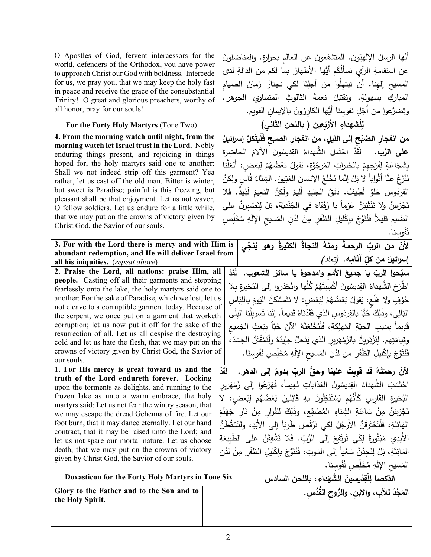| O Apostles of God, fervent intercessors for the<br>world, defenders of the Orthodox, you have power<br>to approach Christ our God with boldness. Intercede<br>for us, we pray you, that we may keep the holy fast<br>in peace and receive the grace of the consubstantial<br>Trinity! O great and glorious preachers, worthy of<br>all honor, pray for our souls!                                                                                                                                                                                                                                                                                                                                                                                    | أَيُّها الرسلُ الإلهيّون. المتشفعونَ عن العالم بحرارةٍ. والمناضلونَ<br>عن استقامةِ الرأي نسألُكُم أيُّها الأطهارُ بما لكم من الدالةِ لدى<br>المسيح إلهِنا. أن تبتهِلُوا من أجلِنَا لكي نجتازَ زمانَ الصيام<br>المباركِ بسهولةٍ. ونقتبلَ نعمةَ الثالوثِ المتساوي الجوهرِ.<br>وتضرَّعوا من أجْلِ نفوسنا أيُّها الكارزونَ بالإيمان القويم.                                                                                                                                                                                                                                                                                                                                                                                   |
|------------------------------------------------------------------------------------------------------------------------------------------------------------------------------------------------------------------------------------------------------------------------------------------------------------------------------------------------------------------------------------------------------------------------------------------------------------------------------------------------------------------------------------------------------------------------------------------------------------------------------------------------------------------------------------------------------------------------------------------------------|---------------------------------------------------------------------------------------------------------------------------------------------------------------------------------------------------------------------------------------------------------------------------------------------------------------------------------------------------------------------------------------------------------------------------------------------------------------------------------------------------------------------------------------------------------------------------------------------------------------------------------------------------------------------------------------------------------------------------|
| For the Forty Holy Martyrs (Tone Two)                                                                                                                                                                                                                                                                                                                                                                                                                                                                                                                                                                                                                                                                                                                | لِلْشهداءِ الأَرْبَعين ( باللحن الثاني)                                                                                                                                                                                                                                                                                                                                                                                                                                                                                                                                                                                                                                                                                   |
| 4. From the morning watch until night, from the<br>morning watch let Israel trust in the Lord. Nobly<br>enduring things present, and rejoicing in things<br>hoped for, the holy martyrs said one to another:<br>Shall we not indeed strip off this garment? Yea<br>rather, let us cast off the old man. Bitter is winter,<br>but sweet is Paradise; painful is this freezing, but<br>pleasant shall be that enjoyment. Let us not waver,<br>O fellow soldiers. Let us endure for a little while,<br>that we may put on the crowns of victory given by<br>Christ God, the Savior of our souls.                                                                                                                                                        | من انفجارِ الصُبْحِ إلى الليلِ، من انفجارِ الصبحِ فَلْيَتَكلْ إسرائيلُ<br><b>على الرَّب.</b> لَقَدْ  احْتَملَ   الشُّهداءُ   القِدِيسُونَ   الآلامَ   الحَاضِرةَ<br>بِشَجَاعَةٍ لِفَرَحِهِمْ بِالْخَيراتِ المَرِجُوَّةِ، يَقولُ بَعْضُهُمْ لِبَعض: أَلْعَلَّنا<br>نَنْزَعُ عنَّا أَثْواباً لا بَلْ إنَّما نَخْلَعُ الإِنسَانَ العَتِيقَ. الشِتَاءُ قُاسٍ ولكنَّ<br>الفِرِدَوسَ خُلوٌ لَطِيفٌ. دَنَقُ الْجَلِيدِ أَلِيمٌ ولَكِنَّ النَعِيمَ لَذِيذٌ. فَلا<br>نَجْزَعنَّ ولا نَنْثَنِيَنَّ عَزِماً يا رُفَقاءَ في الجُنْدِيَّةِ، بَلْ لِنَصْبِرِنَّ علَى<br>الضَيم قَليلاً فَنُتَوَّجَ بِإِكْليلِ الظَّفَرِ  مِنْ لَدُنِ المَسيحِ الإِلَهِ مُخَلِّصِ                                                                        |
|                                                                                                                                                                                                                                                                                                                                                                                                                                                                                                                                                                                                                                                                                                                                                      | نُفَوسنَا.                                                                                                                                                                                                                                                                                                                                                                                                                                                                                                                                                                                                                                                                                                                |
| 3. For with the Lord there is mercy and with Him is<br>abundant redemption, and He will deliver Israel from<br>all his iniquities. (repeat above)<br>2. Praise the Lord, all nations: praise Him, all<br>people. Casting off all their garments and stepping<br>fearlessly onto the lake, the holy martyrs said one to<br>another: For the sake of Paradise, which we lost, let us<br>not cleave to a corruptible garment today. Because of<br>the serpent, we once put on a garment that worketh<br>corruption; let us now put it off for the sake of the<br>resurrection of all. Let us all despise the destroying<br>cold and let us hate the flesh, that we may put on the<br>crowns of victory given by Christ God, the Savior of<br>our souls. | لأنّ من الربّ الرحمةَ ومنهُ النجاةُ الكثيرةُ وهو يُنجّى<br>إسرائيلَ من كلِّ آثامِهِ. (تعاد)<br>سبِّحوا الربّ يا جميعَ الأمم وإمدحوهُ يا سائرَ الشعوب.  لَقَدْ<br>اطْرَحَ الشُّهداءُ القِديسُونَ أَكْسِيتَهُمْ كُلَّها وانْحَدَروا إلى البُحَيرةِ بِلا<br>خَوْفٍ ولا هَلَع، يَقولُ بَعْضُهُمْ لِبَعْضٍ: لا نَتَمسَّكَنَّ النَومَ باللِّبَاسِ<br>البَالِي، وذَلِكَ حُبًّا بالفِرِدَوسِ الذي فَقَدْنَاهُ قَديماً. إنَّنا تَسَرِبِلْنا البِلَي<br>قَدِيماً بِسَببِ الحيَّةِ المُهلِكةِ، فَلْنَخْلَعَنَّهُ الآنَ حُبَّاً بِبَعثِ الْجَميع<br>وقِيامَتِهم. لِنَزْدَرِيَنَّ بِالزَمْهَرِيرِ الذي يَنْحِلُّ جَلِيدُهُ ولْنَمْقُتَنَّ الجَسَدَ،<br>فَنُتَوَّجَ بإِكْليلِ الظّفَرِ من لذُنِ المَسيحِ الإِلَهِ مُخَلِّصِ نُفُوسِنَا. |
| 1. For His mercy is great toward us and the<br>truth of the Lord endureth forever. Looking<br>upon the torments as delights, and running to the<br>frozen lake as unto a warm embrace, the holy<br>martyrs said: Let us not fear the wintry season, that<br>we may escape the dread Gehenna of fire. Let our<br>foot burn, that it may dance eternally. Let our hand<br>contract, that it may be raised unto the Lord; and<br>let us not spare our mortal nature. Let us choose<br>death, that we may put on the crowns of victory<br>given by Christ God, the Savior of our souls.                                                                                                                                                                  | لأنّ رحمَتَهُ قد قويتْ علينا وحقُّ الربّ يدومُ إلى الدهر.<br>أفَدُ<br>احْتَسَبَ الشُّهداءُ القِديسُونَ العَذاباتِ نَعِيماً، فَهَرَعُوا إِلَى زَمْهَرِيرِ<br>البُحَيرةِ القَارِسِ كَأَنَّهُم يَسْتَدْفِئُونَ بِهِ قَائِلِينَ بَعْضُهُم لِبَعض: لا<br>نَجْزَعَنَّ مِنْ سَاعَةِ الشِتَاءِ المُصْقِعِ، وذَلِكَ للفَرارِ مِنْ نَارِ جَهَنَّمَ<br>الهَائِلةِ، فَلْتَحْتَرِقَنَّ الأَرِجُلُ لِكَى تَرْقُصَ طَرِيَاً إِلَى الأَبَدِ، ولتَسْقُطَنَّ<br>الأَيْدِي مَبْتُورةً لِكَى تَرتَفِعَ إِلَى الرَّبِّ. فَلا نُشْفِقَنَّ على الطَّبيعَةِ<br>المَائِتَةِ، بَلْ لِنَجِدَّنَّ سَعْياً إِلَى المَوتِ، فَنُتَوَّجَ بِإِكْليلِ الظَفَرِ مِنْ لِدُنِ<br>المَسيح الإِلَهِ مُخَلِّص نُفُوسنَا.                                          |
| Doxasticon for the Forty Holy Martyrs in Tone Six                                                                                                                                                                                                                                                                                                                                                                                                                                                                                                                                                                                                                                                                                                    | الذكصا لِلْقِدّيسينَ الشُهَداءِ ، باللحن السادس                                                                                                                                                                                                                                                                                                                                                                                                                                                                                                                                                                                                                                                                           |
| Glory to the Father and to the Son and to<br>the Holy Spirit.                                                                                                                                                                                                                                                                                                                                                                                                                                                                                                                                                                                                                                                                                        | المَجْدُ للآبِ، والابنِ، والزَّوحِ القُدُسِ.                                                                                                                                                                                                                                                                                                                                                                                                                                                                                                                                                                                                                                                                              |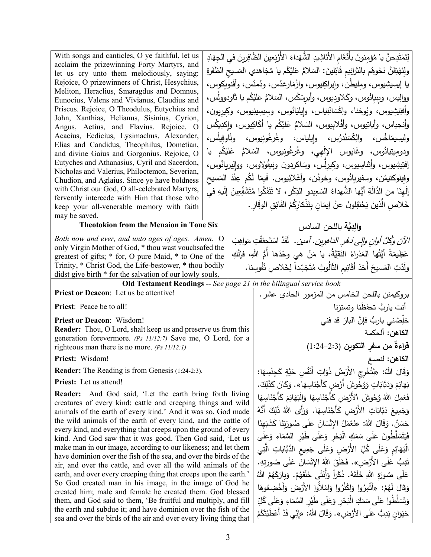| With songs and canticles, O ye faithful, let us                                                                                                                                                      |  | لِنَمْتَدِحنَّ يا مُؤمِنونَ بأَنْغَام الأَنَاشِيدِ الشُّهَداءَ الأَرْبَعينَ الظَّافِرينَ في الجِهَادِ                                                         |  |  |
|------------------------------------------------------------------------------------------------------------------------------------------------------------------------------------------------------|--|---------------------------------------------------------------------------------------------------------------------------------------------------------------|--|--|
| acclaim the prizewinning Forty Martyrs, and<br>let us cry unto them melodiously, saying:                                                                                                             |  | ولِنَهْتِفَنَّ نَحْوهُم بِالتَّرانِيمِ قَائِلِينَ: السَلامُّ عَلَيْكُم يا مُجَاهِدي المَسيحِ الظَفَرة                                                         |  |  |
| Rejoice, O prizewinners of Christ, Hesychius,                                                                                                                                                        |  | يا إيسِيثِيوس، ومِليطَن، وإيراكِليوس، وإزْمَارغدُس، ودُمنُس، وأفْنويكوس،                                                                                      |  |  |
| Meliton, Heraclius, Smaragdus and Domnus,                                                                                                                                                            |  |                                                                                                                                                               |  |  |
| Eunocius, Valens and Vivianus, Claudius and                                                                                                                                                          |  | ووالِيس، وبِبيانُوس، وكَلاوديوس، وأبرسْكُس، السَلامُ عَلَيْكُم يا ثَاودوولُس،                                                                                 |  |  |
| Priscus. Rejoice, O Theodulus, Eutychius and                                                                                                                                                         |  | وأفتِيثِيوس، ويُوحَنا، واكْسَانْتِياس، وإيليَانُوس، وسيسِينِيوس، وكيربِون،                                                                                    |  |  |
| John, Xanthias, Helianus, Sisinius, Cyrion,<br>Angus, Aetius, and Flavius. Rejoice, O                                                                                                                |  | وأنجياس، وأياتِيوس، وأفْلابيوس، السَلامُ عَلَيْكُم يا أكَاكِيوس، وإكدِيكُس                                                                                    |  |  |
| Acacius, Ecdicius, Lysimachus, Alexander,                                                                                                                                                            |  | وليسِيمَاخُس، والِكْسَنْدرُس، وإيلياس، وغُرغُونِيوس، وثَاوفِيلَس،                                                                                             |  |  |
| Elias and Candidus, Theophilus, Dometian,                                                                                                                                                            |  |                                                                                                                                                               |  |  |
| and divine Gaius and Gorgonius. Rejoice, O                                                                                                                                                           |  | ودوميتِيانُوس، وغَايوس الإِلَهِي، وغُرغُونيوس، السَلامُ عَليْكُم يا                                                                                           |  |  |
| Eutyches and Athanasius, Cyril and Sacerdon,                                                                                                                                                         |  | إفتِيثِيوس، وأثناسِيوس، وكيرلِّس، وسَاكردون ونيڤُولاوس، ووالِيريانُوس،                                                                                        |  |  |
| Nicholas and Valerius, Philoctemon, Severian,<br>Chudion, and Aglaius. Since ye have boldness                                                                                                        |  | وفِيلوكتيمُن، وسفيريانُوس، وخودُن، وأغَلائِيوس. فَبِمَا لَكُم عِنْدَ المَسيح                                                                                  |  |  |
| with Christ our God, O all-celebrated Martyrs,                                                                                                                                                       |  | إِلَهِنَا من الدَّالَةِ أَيُّها الشُّهداءُ السَعِيدو الذِكْرِ ، لا تَنْفَكُوا مُتَشَفِّعِينَ إِلَيهِ في                                                       |  |  |
| fervently intercede with Him that those who                                                                                                                                                          |  |                                                                                                                                                               |  |  |
| keep your all-venerable memory with faith                                                                                                                                                            |  | خَلاصِ الَّذينَ يَحْتَفِلونَ عنْ إيمَانِ بِتَذْكارِكُمُ الفَائِقِ الوقَارِ .                                                                                  |  |  |
| may be saved.                                                                                                                                                                                        |  |                                                                                                                                                               |  |  |
| Theotokion from the Menaion in Tone Six                                                                                                                                                              |  | والِدِيَّة باللحن السادس                                                                                                                                      |  |  |
| Both now and ever, and unto ages of ages. Amen. O                                                                                                                                                    |  | الآنَ وكُلَّ أُولِن والِّي دَهْرِ الداهرِينِ. آمينِ. ۖ لَقَدْ اسْتَحقَقْتِ مَواهِبَ                                                                           |  |  |
| only Virgin Mother of God, * thou wast vouchsafed the<br>عَظِيمَةً أَيَّتُها العَذراءُ النَقِيَّةُ، يا مَنْ هي وحْدَها أمُّ اللهِ، فإنَّكِ<br>greatest of gifts; * for, O pure Maid, * to One of the |  |                                                                                                                                                               |  |  |
| Trinity, * Christ God, the Life-bestower, * thou bodily                                                                                                                                              |  |                                                                                                                                                               |  |  |
| didst give birth * for the salvation of our lowly souls.                                                                                                                                             |  | ولَدْتِ المَسيحَ أَحَدَ أَقَانِيمِ الثَّالُوثِ مُتَجَسِّداً لِخَلاصِ نُفُوسِنا.                                                                               |  |  |
|                                                                                                                                                                                                      |  | Old Testament Readings -- See page 21 in the bilingual service book                                                                                           |  |  |
|                                                                                                                                                                                                      |  |                                                                                                                                                               |  |  |
| Priest or Deacon: Let us be attentive!                                                                                                                                                               |  | بروكيمنن باللحن الخامس من المزمور الحادي عشر.                                                                                                                 |  |  |
| Priest: Peace be to all!                                                                                                                                                                             |  | أنت ياربٌ تحفظَنا وتسترَنا                                                                                                                                    |  |  |
| <b>Priest or Deacon: Wisdom!</b>                                                                                                                                                                     |  | خلِّصْني باربٌ فإنَّ البارَ قد فني                                                                                                                            |  |  |
| <b>Reader:</b> Thou, O Lord, shalt keep us and preserve us from this                                                                                                                                 |  |                                                                                                                                                               |  |  |
| generation forevermore. (Ps 11/12:7) Save me, O Lord, for a<br>righteous man there is no more. ( $Ps$ 11/12:1)                                                                                       |  | الكاهن: ألحكمة<br>قراءةٌ من سفر التكوين (2:3–1:24)                                                                                                            |  |  |
| Priest: Wisdom!                                                                                                                                                                                      |  |                                                                                                                                                               |  |  |
|                                                                                                                                                                                                      |  | الكاهن: لنصغ                                                                                                                                                  |  |  |
| <b>Reader:</b> The Reading is from Genesis (1:24-2:3).                                                                                                                                               |  | وَقَالَ اللَّهُ: «لِتُخْرِجِ الأَرْضُ ذَوَاتِ أَنْفُسِ حَيَّةٍ كَجِنْسِهَا:                                                                                   |  |  |
| Priest: Let us attend!                                                                                                                                                                               |  | بَهَائِمَ وَدَبَّابَاتٍ وَوُحُوشَ أَرْضِ كَأَجْنَاسِهَا». وَكَانَ كَذَلِكَ.                                                                                   |  |  |
| <b>Reader:</b> And God said, 'Let the earth bring forth living                                                                                                                                       |  | فَعَمِلَ اللَّهُ وُحُوشَ الأَرْضِ كَأَجْنَاسِهَا وَالْبَهَائِمَ كَأَجْنَاسِهَا                                                                                |  |  |
| creatures of every kind: cattle and creeping things and wild<br>animals of the earth of every kind.' And it was so. God made                                                                         |  | وَجَمِيعَ دَبَّابَاتِ الأَرْضِ كَأَجْنَاسِهَا. وَزَأَى اللهُ ذَلِكَ أَنَّهُ                                                                                   |  |  |
| the wild animals of the earth of every kind, and the cattle of                                                                                                                                       |  |                                                                                                                                                               |  |  |
| every kind, and everything that creeps upon the ground of every                                                                                                                                      |  | حَسَنٌ. وَقَالَ اللهُ: «نَعْمَلُ الإِنْسَانَ عَلَى صُورَتِنَا كَشَبَهنَا                                                                                      |  |  |
| kind. And God saw that it was good. Then God said, 'Let us                                                                                                                                           |  | فَيَتَسَلَّطُونَ عَلَى سَمَكِ الْبَحْرِ وَعَلَى طَيْرِ السَّمَاءِ وَعَلَى                                                                                     |  |  |
| make man in our image, according to our likeness; and let them                                                                                                                                       |  | الْبَهَائِمِ وَعَلَى كُلِّ الأَرْضِ وَعَلَى جَمِيعِ الدَّبَّابَاتِ الَّتِي                                                                                    |  |  |
| have dominion over the fish of the sea, and over the birds of the<br>air, and over the cattle, and over all the wild animals of the                                                                  |  | تَدِبُّ عَلَى الأَرْض». فَخَلَقَ اللهُ الإِنْسَانَ عَلَى صُورَتِهِ.                                                                                           |  |  |
| earth, and over every creeping thing that creeps upon the earth.'                                                                                                                                    |  | عَلَى صُورَةِ اللهِ خَلَقَهُ. ذَكَراً وَأُنْثَى خَلَقَهُمْ. وَبَارَكَهُمُ اللهُ                                                                               |  |  |
| So God created man in his image, in the image of God he                                                                                                                                              |  |                                                                                                                                                               |  |  |
| created him; male and female he created them. God blessed                                                                                                                                            |  | وَقَالَ لَهُمْ: «أَثْمِرُوا وَاكْثُرُوا وَامْلأُوا الأَرْضَ وَأَخْضِعُوهَا                                                                                    |  |  |
| them, and God said to them, 'Be fruitful and multiply, and fill<br>the earth and subdue it; and have dominion over the fish of the                                                                   |  | وَتَسَلَّطُوا عَلَى سَمَكِ الْبَحْرِ وَعَلَى طَيْرِ السَّمَاءِ وَعَلَى كُلِّ<br>حَيَوَانِ يَدِبُّ عَلَى الأَرْضِ». وَقَالَ اللهُ: «إِنِّى قَدْ أَعْطَيْتُكُمْ |  |  |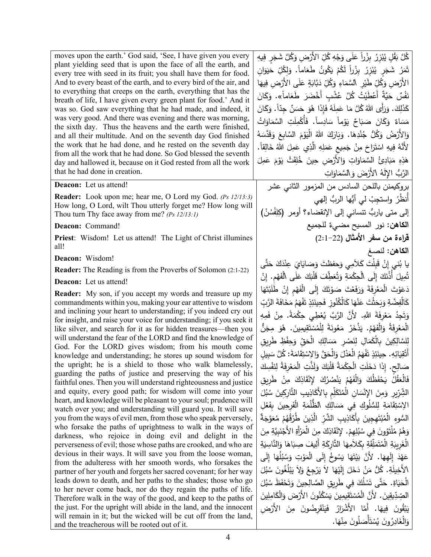كُلَّ بَقْلٍ يُبْزِرُ بِزْراً عَلَى وَجْهِ كُلِّ الأَرْضِ وَكُلَّ شَجَرٍ فِيهِ<br>ِ **:** َ **ٔ** ٔ. ثَمَرُ شَجَرٍ يُبْزِرُ بِزْراً لَكُمْ يَكُونُ طَعَاماً. وَلِكُلِّ حَيَوَانِ َ َ ْ **:** الأَرْضِ وَكُلِّ طَيْرِ السَّمَاءِ وَكُلِّ دَبَّابَةٍ عَلَى الأَرْضِ فِيهَا<br>مُسْتَخَلِّفَ الشَّمَاءِ وَكُلِّ دَبَّابَةٍ <u>ٔ</u> َ نَفْسٌ حَيَّةٌ أَعْطَيْتُ كُلَّ عُشْبٍ أَخْضَرَ طَعَاماً». وَكَانَ<br>يَفْسُ حَيَّةٌ أَعْطَيْتُ كُلَّ عُشْبٍ أَخْضَرَت َ .<br>-َان �َ .ً و ّا ٌ ِ جد َ ن َس َ ح ُو ِإَذا ه ُ ف َه ِل َم َا ع ُ َّل م � ُ أَى الله َر .َ و ِك َ َذل ك َ َ مَسَاءٌ ۚ وَكَانَ صَبَاحٌ يَوْماً سَادِساً. فَأُكْمِلَتِ السَّمَاوَاتُ<br>أَحْسَاءٌ وَالَ وَالأَرْضُ وَكُلُّ جُنْدِهَا. وَبَارَكَ اللهُ الْيَوْمَ السَّابِعَ وَقَدَّسَهُ<br>وَمَسَرِّد َ َ َ .ً ِقا َال ُ خ َ الله ِل َم ِي ع َّذ ِ ال ِه ل َم ِ ِ�ع ع َم ْ ج ِن َ م َاح َر ْ ت ِ اس ِ�ه ُ ف لأََّنه ً<br>ً  $\overline{\phantom{a}}$ هَذِهِ مَبَادِئُ السَّمَاوَاتِ وَالأَرْضِ حِينَ خُلِقَتْ يَوْمَ عَ*مِلَ*<br>معذ معاذ في السَّمَاوَاتِ وَالأَرْضِ حِينَ خُلِقَتْ يَوْمَ عَم*ِل*َ ً<br>ً الرَّبُّ الإِلَهُ الأَرْضَ وَالسَّمَاوَاتِ<br>' moves upon the earth.' God said, 'See, I have given you every plant yielding seed that is upon the face of all the earth, and every tree with seed in its fruit; you shall have them for food. And to every beast of the earth, and to every bird of the air, and to everything that creeps on the earth, everything that has the breath of life, I have given every green plant for food.' And it was so. God saw everything that he had made, and indeed, it was very good. And there was evening and there was morning, the sixth day. Thus the heavens and the earth were finished, and all their multitude. And on the seventh day God finished the work that he had done, and he rested on the seventh day from all the work that he had done. So God blessed the seventh day and hallowed it, because on it God rested from all the work that he had done in creation. .<br>بروكيمنن باللحن السادس من المزمور الثاني عشر أنظُرْ واِستجِبْ لي أيُّها الربُّ إلهي إلى متى ياربُ تنساني إلى الإنقضاء؟ أومر (كِلِفْسُنْ) ا**لكاهن:** نور المسيح مضييءٌ للجميع<br>. **قراءة من سفر الأمثال** (2:1-22) **الكاهن:** لنصغ يا بُني إِنْ قَبِلْتَ كَلاَمِي وَحفظتَ وَصَايَايَ عِنْدَكَ حَتَّى<br>وَمَسْئُمْوا مِنْ أَنْسَاءَ مِنْ الْمُسْتَةِبِينَ مِنْ الْمُسْتَةِبِينَ مِنْدَكَ حَتَّى َ تُمِيلَ أُذْنَكَ إِلَى الْحِكْمَةِ وَتُعَطِّفَ قَلْبَكَ عَلَى الْفَهْمِ. إِنْ َ دَعَوْتَ الْمَعْرِفَةَ وَرَفَعْتَ صَوْتَكَ إِلَى الْفَهْمِ إِنْ طَلَبْتَهَا<br>معْدِينِ ْ ْ َ ْ ِ ّ َ َة َّ الرب َاف َخ ُ م َم ْه َف ٍ ت ِذ ئ َ ِحین ُ ِوز ف ُن َ ْالك َا � ْه ن ْ َت ع ث َح � ِ و ِ َّضة َ ْالف ك َ َ َ َ وَتَجِدُ مَعْرِفَةَ اللَّهِ. لأَنَّ الرَّبَّ يُعْطِي حِكْمَةً. مِنْ فَمِهِ<br>\* ْ ْ َ .<br>ا الْمَعْرِفَةُ وَالْفَهْمُ. يَذْخَرُ مَعُونَةً لِلْمُسْتَقِيمِينَ. هُوَ مِجَنٌّ ْ لِسَّالِكِينَ بِالْكَمَالِ لِنَصْرِ مَسَالِكِ الْحَقِّ وَحِفْظِ طَرِيقِ<br>أَم َ أَتْقِيَائِهِ. حِينَئِذٍ تَفْهَمُ الْعَدْلَ وَالْحَقَّ وَالِإِسْتِقَامَةَ: كُلَّ سَبِيلٍ<br>أَتَّقِيَائِهِ. حِينَئِذٍ تَفْهَمُ الْعَدْلَ وَالْحَقَّ وَالإِسْتِقَامَةَ: كُلَّ سَبِيلٍ ً<br>، ا<br>ا صَالِحِ. إِذَا دَخَلَتِ الْحِكْمَةُ قَلْبَكَ وَلَذَّتِ الْمَعْرِفَةُ لِنَفْسِكَ<br>يهْ وَجَمَعَهُ َ َ ْ َ طِر ِ �ق ِن َ م ِك َاذ ْق َ ِ لإن ُك ُ ر ْص ن َ ُ ی ْم َه َ ْالف َ و َ ُظك ْف َح � ُ ْل ق َ َ ْالع ف الشِّرِّيرِ وَمِنَ الإِنْسَانِ الْمُتَكَلِّمِ بِالأَكَاذِيبِ التَّارِكِينَ سُبُلَ<br>. الِاِسْتِقَامَةِ لِلسُّلُوكِ فِي مَسَالِكِ الظُّلْمَةِ الْفَرِحِينَ بِفَعْلِ<br>. السُّوءِ ۖ الْمُبْتَهِجِينَ بِأَكَاذِيبِ الشَّرِّ ۖ الَّذِينَ طُرُقُهُمْ مُعَوَّجَةٌ<br>. .<br>. وَهُمْ مُلْتَوُونَ فِي سُبُلِهِمْ. لإِنْقَاذِكَ مِنَ الْمَرْأَةِ الأَجْنَبِيَّةِ مِنَ .<br>. نْتَطِّقَةِ بِكَلاَمِهَا التَّارِكَةِ أَلِيفَ صِبَاهَ الْغَرِيبَةِ الْمُتَمَلِّقَةِ بِكَلاَمِهَا التَّارِكَةِ أَلِيفَ صِبَاهَا وَالنَّاسِيَةِ عَهْدَ إِلَهِهَا. لأَنَّ بَيْتَهَا يَسُوخُ إِلَى الْمَوْتِ وَسُبُلُهَا إِلَى<br>مَعْدَ إِلَيْهِا. ؛<br>' **ٔ** \'لأَخِيلَةِ. كُلُّ مَنْ دَخَلَ إِلَيْهَا لاَ يَرْجِعُ وَلاَ يَبْلُغُونَ سُبُلَ<br>. **ٔ** .<br>ا حياهِ. حتى نسلك فِي طَرِيقِ الصَّانِحِينِ وتَحفظ سَبَن<br>مَسَيَّةٍ مِنْ الْمَسْرِينِ ُل ب َ َظ س ْف َح ت َ و ِ ِحین ِ َ ي طِر ِ �ق َّ الصال َ ف ُك ْ ل َس َّى ت ت .ِ ح َاة � ْالح الصِّدِّيقِينَ. لأَنَّ الْمُسْتَقِيمِينَ يَسْكُنُونَ الأَرْضَ وَالْكَامِلِينَ<br>. يَبْقُونَ فِيهَا. أَمَّا الأَشْرَارُ فَيَنْقَرِضُونَ مِنَ الأَرْض*ِ*<br>. <u>ٔ</u> وَالْغَادِرُونَ يُسْتَأْصَلُونَ مِنْهَا. **Deacon:** Let us attend! **Reader:** Look upon me; hear me, O Lord my God. *(Ps 12/13:3)* How long, O Lord, wilt Thou utterly forget me? How long will Thou turn Thy face away from me? *(Ps 12/13:1)* **Deacon:** Command! **Priest**: Wisdom! Let us attend! The Light of Christ illumines all! **Deacon:** Wisdom! **Reader:** The Reading is from the Proverbs of Solomon (2:1-22) **Deacon:** Let us attend! **Reader:** My son, if you accept my words and treasure up my commandments within you, making your ear attentive to wisdom and inclining your heart to understanding; if you indeed cry out for insight, and raise your voice for understanding; if you seek it like silver, and search for it as for hidden treasures—then you will understand the fear of the LORD and find the knowledge of God. For the LORD gives wisdom; from his mouth come knowledge and understanding; he stores up sound wisdom for the upright; he is a shield to those who walk blamelessly, guarding the paths of justice and preserving the way of his faithful ones. Then you will understand righteousness and justice and equity, every good path; for wisdom will come into your heart, and knowledge will be pleasant to your soul; prudence will watch over you; and understanding will guard you. It will save you from the ways of evil men, from those who speak perversely, who forsake the paths of uprightness to walk in the ways of darkness, who rejoice in doing evil and delight in the perverseness of evil; those whose paths are crooked, and who are devious in their ways. It will save you from the loose woman, from the adulteress with her smooth words, who forsakes the partner of her youth and forgets her sacred covenant; for her way leads down to death, and her paths to the shades; those who go to her never come back, nor do they regain the paths of life. Therefore walk in the way of the good, and keep to the paths of the just. For the upright will abide in the land, and the innocent will remain in it; but the wicked will be cut off from the land, and the treacherous will be rooted out of it.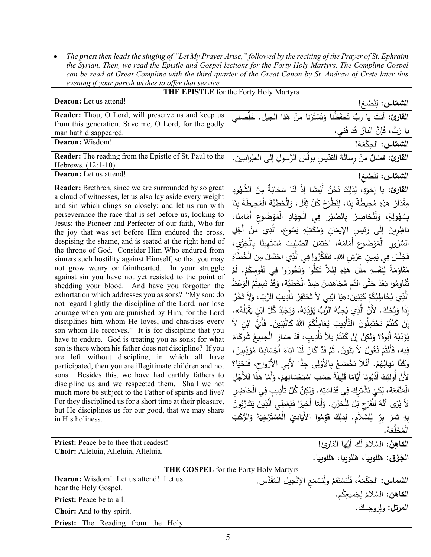• *The priest then leads the singing of "Let My Prayer Arise," followed by the reciting of the Prayer of St. Ephraim the Syrian. Then, we read the Epistle and Gospel lections for the Forty Holy Martyrs. The Compline Gospel can be read at Great Compline with the third quarter of the Great Canon by St. Andrew of Crete later this evening if your parish wishes to offer that service.*

| THE EPISTLE for the Forty Holy Martyrs                                                                                                                                                                                                                                                                                                                                                                                                                                                                                                                                                                                                                                                                                                                                                                                                                                                                                                                                                                                                                                                                                                                                                                                                                                                                                                                                                                                                                                                                                                     |  |                                                                                                                                                                                                                                                                                                                                                                                                                                                                                                                                                                                                                                                                                                                                                                                                                                                                                                                                                                                                                                                                                                                                                                                                                                                                                                                                                                                                                                                                                                                                                                                                                                                                                                                                                                    |
|--------------------------------------------------------------------------------------------------------------------------------------------------------------------------------------------------------------------------------------------------------------------------------------------------------------------------------------------------------------------------------------------------------------------------------------------------------------------------------------------------------------------------------------------------------------------------------------------------------------------------------------------------------------------------------------------------------------------------------------------------------------------------------------------------------------------------------------------------------------------------------------------------------------------------------------------------------------------------------------------------------------------------------------------------------------------------------------------------------------------------------------------------------------------------------------------------------------------------------------------------------------------------------------------------------------------------------------------------------------------------------------------------------------------------------------------------------------------------------------------------------------------------------------------|--|--------------------------------------------------------------------------------------------------------------------------------------------------------------------------------------------------------------------------------------------------------------------------------------------------------------------------------------------------------------------------------------------------------------------------------------------------------------------------------------------------------------------------------------------------------------------------------------------------------------------------------------------------------------------------------------------------------------------------------------------------------------------------------------------------------------------------------------------------------------------------------------------------------------------------------------------------------------------------------------------------------------------------------------------------------------------------------------------------------------------------------------------------------------------------------------------------------------------------------------------------------------------------------------------------------------------------------------------------------------------------------------------------------------------------------------------------------------------------------------------------------------------------------------------------------------------------------------------------------------------------------------------------------------------------------------------------------------------------------------------------------------------|
| Deacon: Let us attend!                                                                                                                                                                                                                                                                                                                                                                                                                                                                                                                                                                                                                                                                                                                                                                                                                                                                                                                                                                                                                                                                                                                                                                                                                                                                                                                                                                                                                                                                                                                     |  | الشماس: لِنُصْغ!                                                                                                                                                                                                                                                                                                                                                                                                                                                                                                                                                                                                                                                                                                                                                                                                                                                                                                                                                                                                                                                                                                                                                                                                                                                                                                                                                                                                                                                                                                                                                                                                                                                                                                                                                   |
| Reader: Thou, O Lord, will preserve us and keep us                                                                                                                                                                                                                                                                                                                                                                                                                                                                                                                                                                                                                                                                                                                                                                                                                                                                                                                                                                                                                                                                                                                                                                                                                                                                                                                                                                                                                                                                                         |  | القارئ: أَنتَ يا رَبُّ تَحفَظُنا وَتَسْتُرُنا مِنْ هَذا الجيل. خَلِّصني                                                                                                                                                                                                                                                                                                                                                                                                                                                                                                                                                                                                                                                                                                                                                                                                                                                                                                                                                                                                                                                                                                                                                                                                                                                                                                                                                                                                                                                                                                                                                                                                                                                                                            |
| from this generation. Save me, O Lord, for the godly<br>man hath disappeared.                                                                                                                                                                                                                                                                                                                                                                                                                                                                                                                                                                                                                                                                                                                                                                                                                                                                                                                                                                                                                                                                                                                                                                                                                                                                                                                                                                                                                                                              |  | يا رَبُّ، فَإِنَّ البارَّ قَد فَني.                                                                                                                                                                                                                                                                                                                                                                                                                                                                                                                                                                                                                                                                                                                                                                                                                                                                                                                                                                                                                                                                                                                                                                                                                                                                                                                                                                                                                                                                                                                                                                                                                                                                                                                                |
| Deacon: Wisdom!                                                                                                                                                                                                                                                                                                                                                                                                                                                                                                                                                                                                                                                                                                                                                                                                                                                                                                                                                                                                                                                                                                                                                                                                                                                                                                                                                                                                                                                                                                                            |  | الشماس: الحِكْمَة!                                                                                                                                                                                                                                                                                                                                                                                                                                                                                                                                                                                                                                                                                                                                                                                                                                                                                                                                                                                                                                                                                                                                                                                                                                                                                                                                                                                                                                                                                                                                                                                                                                                                                                                                                 |
| Reader: The reading from the Epistle of St. Paul to the<br>Hebrews. (12:1-10)                                                                                                                                                                                                                                                                                                                                                                                                                                                                                                                                                                                                                                                                                                                                                                                                                                                                                                                                                                                                                                                                                                                                                                                                                                                                                                                                                                                                                                                              |  | ا <b>لقارئ:</b> فَصْلٌ مِنْ رِسالَة القِدّيسِ بولُسَ الرَّسولِ إلى العِبْرانِيين.                                                                                                                                                                                                                                                                                                                                                                                                                                                                                                                                                                                                                                                                                                                                                                                                                                                                                                                                                                                                                                                                                                                                                                                                                                                                                                                                                                                                                                                                                                                                                                                                                                                                                  |
| Deacon: Let us attend!                                                                                                                                                                                                                                                                                                                                                                                                                                                                                                                                                                                                                                                                                                                                                                                                                                                                                                                                                                                                                                                                                                                                                                                                                                                                                                                                                                                                                                                                                                                     |  | الشماس: لِنُصْغ!                                                                                                                                                                                                                                                                                                                                                                                                                                                                                                                                                                                                                                                                                                                                                                                                                                                                                                                                                                                                                                                                                                                                                                                                                                                                                                                                                                                                                                                                                                                                                                                                                                                                                                                                                   |
| Reader: Brethren, since we are surrounded by so great<br>a cloud of witnesses, let us also lay aside every weight<br>and sin which clings so closely; and let us run with<br>perseverance the race that is set before us, looking to<br>Jesus: the Pioneer and Perfecter of our faith, Who for<br>the joy that was set before Him endured the cross,<br>despising the shame, and is seated at the right hand of<br>the throne of God. Consider Him Who endured from<br>sinners such hostility against Himself, so that you may<br>not grow weary or fainthearted. In your struggle<br>against sin you have not yet resisted to the point of<br>shedding your blood. And have you forgotten the<br>exhortation which addresses you as sons? "My son: do<br>not regard lightly the discipline of the Lord, nor lose<br>courage when you are punished by Him; for the Lord<br>disciplines him whom He loves, and chastises every<br>son whom He receives." It is for discipline that you<br>have to endure. God is treating you as sons; for what<br>son is there whom his father does not discipline? If you<br>are left without discipline, in which all have<br>participated, then you are illegitimate children and not<br>sons. Besides this, we have had earthly fathers to<br>discipline us and we respected them. Shall we not<br>much more be subject to the Father of spirits and live?<br>For they disciplined us for a short time at their pleasure,<br>but He disciplines us for our good, that we may share<br>in His holiness. |  | ا <b>لقارئ:</b> يا إخوَة، لِذلِكَ نَحْنُ أَيْضًا إذْ لَنَا سَحَابَةٌ مِنَ الشُّهُود<br>مِقْدَارُ ۖ هذِهِ مُحِيطَةٌ بِنَا، لِنَطْرَحْ كُلَّ ثِقْلٍ، وَالْخَطِيَّةَ الْمُحِيطَةَ بِنَا<br>بِسُهُولَةٍ، وَلْنُحَاضِرْ بِالصَّبْرِ فِى الْجِهَادِ الْمَوْضُوعِ أَمَامَنَا،<br>نَاظِرِينَ إِلَى رَئِيسِ الإِيمَانِ وَمُكَمِّلِهِ يَسُوعَ، الَّذِي مِنْ أَجْلِ<br>السُّرُورِ الْمَوْضُوعِ أَمَامَهُ، احْتَمَلَ الصَّلِيبَ مُسْتَهِينًا بِالْخِزْيِ،<br>فَجَلَسَ فِي يَمِينِ عَرْشٍ اللهِ. فَتَفَكَّرُوا فِي الَّذِي احْتَمَلَ مِنَ الْخُطَاةِ<br>مُقَاوَمَةً لِنَفْسِهِ مِثْلَ هذِهِ لِئَلاَّ تَكِلُّوا وَتَخُورُوا فِي نُفُوسِكُمْ. لَمْ<br>تُقَاوِمُوا بَعْدُ حَتَّى الدَّم مُجَاهِدِينَ ضِدَّ الْخَطِيَّةِ، وَقَدْ نَسِيتُمُ الْوَعْظَ<br>الَّذِي يُخَاطِبُكُمْ كَبَنِينَ :«يَا ابْنِي لاَ تَحْتَقِرْ  تَأْدِيبَ الرَّبِّ، وَلاَ تَخُرْ<br>إِذَا وَيَّخَكَ. لأَنَّ الَّذِي يُحِبُّهُ الرَّبُّ يُؤَدِّبُهُ، وَيَجْلِدُ كُلَّ ابْنِ يَقْبَلُهُ».<br>إِنْ كُنْتُمْ تَحْتَمِلُونَ التَّأْدِيبَ يُعَامِلُكُمُ اللهُ كَالْبَنِينَ. فَأَيُّ ابْنِ لاَ<br>يُؤَدِّبُهُ أَبُوهُ؟ وَلِكِنْ إِنْ كُنْتُمْ بِلاَ تَأْدِيبٍ، قَدْ صَارَ  الْجَمِيعُ شُرَكَاءَ<br>فِيهِ، فَأَنْتُمْ نُغُولٌ لاَ بَنُونَ. ثُمَّ قَدْ كَانَ لَنَا آبَاءُ أَجْسَادِنَا مُؤَدِّبِينَ،<br>وَكُنَّا نَهَابُهُمْ. أَفَلاَ نَخْضَعُ بِالأَوْلَى جِدًّا لأَبِي الأَرْوَاحِ، فَنَحْيَا؟<br>لأَنَّ أُولَئِكَ أَدَّبُونَا أَيَّامًا قَلِيلَةً حَسَبَ اسْتِحْسَانِهِمْ، وَأَمَّا هذَا فَلأَجْلِ<br>الْمَنْفَعَةِ، لِكَيْ نَشْتَرِكَ فِي قَدَاسَتِهِ. وَلكِنَّ كُلَّ تَأْدِيبٍ فِي الْحَاضِرِ<br>لاَ يُرَى أَنَّهُ لِلْفَرَحِ بَلْ لِلْحَزَنِ. وَأَمَّا أَخِيرًا فَيُعْطِي الَّذِينَ يَتَذَرَّبُونَ<br>بِهِ شَرَ بِرِّ لِلسَّلاَمِ. لِذلِكَ قَوِّمُوا الأَيَادِيَ الْمُسْتَرْخِيَةَ وَالرُّكَبَ<br>الْمُخَلَّعَةَ. |
| <b>Priest:</b> Peace be to thee that readest!<br>Choir: Alleluia, Alleluia, Alleluia.                                                                                                                                                                                                                                                                                                                                                                                                                                                                                                                                                                                                                                                                                                                                                                                                                                                                                                                                                                                                                                                                                                                                                                                                                                                                                                                                                                                                                                                      |  | الكاهِنْ: السَّلامُ لَكَ أَيُّها القارئ!                                                                                                                                                                                                                                                                                                                                                                                                                                                                                                                                                                                                                                                                                                                                                                                                                                                                                                                                                                                                                                                                                                                                                                                                                                                                                                                                                                                                                                                                                                                                                                                                                                                                                                                           |
|                                                                                                                                                                                                                                                                                                                                                                                                                                                                                                                                                                                                                                                                                                                                                                                                                                                                                                                                                                                                                                                                                                                                                                                                                                                                                                                                                                                                                                                                                                                                            |  | الْمَوْق: هَلِلُوبِيَا، هَلِلُوبِيَا، هَلِلُوبِيَا.                                                                                                                                                                                                                                                                                                                                                                                                                                                                                                                                                                                                                                                                                                                                                                                                                                                                                                                                                                                                                                                                                                                                                                                                                                                                                                                                                                                                                                                                                                                                                                                                                                                                                                                |
|                                                                                                                                                                                                                                                                                                                                                                                                                                                                                                                                                                                                                                                                                                                                                                                                                                                                                                                                                                                                                                                                                                                                                                                                                                                                                                                                                                                                                                                                                                                                            |  | THE GOSPEL for the Forty Holy Martyrs                                                                                                                                                                                                                                                                                                                                                                                                                                                                                                                                                                                                                                                                                                                                                                                                                                                                                                                                                                                                                                                                                                                                                                                                                                                                                                                                                                                                                                                                                                                                                                                                                                                                                                                              |
| Deacon: Wisdom! Let us attend! Let us<br>hear the Holy Gospel.                                                                                                                                                                                                                                                                                                                                                                                                                                                                                                                                                                                                                                                                                                                                                                                                                                                                                                                                                                                                                                                                                                                                                                                                                                                                                                                                                                                                                                                                             |  | ا <b>لشماس:</b> الحِكْمَةُ، فَلْنَسْتَقِمْ ولْنَسْمَعِ الإِنْجيلَ المُقَدَّس.                                                                                                                                                                                                                                                                                                                                                                                                                                                                                                                                                                                                                                                                                                                                                                                                                                                                                                                                                                                                                                                                                                                                                                                                                                                                                                                                                                                                                                                                                                                                                                                                                                                                                      |
| Priest: Peace be to all.                                                                                                                                                                                                                                                                                                                                                                                                                                                                                                                                                                                                                                                                                                                                                                                                                                                                                                                                                                                                                                                                                                                                                                                                                                                                                                                                                                                                                                                                                                                   |  | ا <b>لكاهن:</b> السَّلامُ لِجَميعِكُم.                                                                                                                                                                                                                                                                                                                                                                                                                                                                                                                                                                                                                                                                                                                                                                                                                                                                                                                                                                                                                                                                                                                                                                                                                                                                                                                                                                                                                                                                                                                                                                                                                                                                                                                             |
| <b>Choir:</b> And to thy spirit.                                                                                                                                                                                                                                                                                                                                                                                                                                                                                                                                                                                                                                                                                                                                                                                                                                                                                                                                                                                                                                                                                                                                                                                                                                                                                                                                                                                                                                                                                                           |  | العرتل: ولروجك.                                                                                                                                                                                                                                                                                                                                                                                                                                                                                                                                                                                                                                                                                                                                                                                                                                                                                                                                                                                                                                                                                                                                                                                                                                                                                                                                                                                                                                                                                                                                                                                                                                                                                                                                                    |
| Priest: The Reading from the Holy                                                                                                                                                                                                                                                                                                                                                                                                                                                                                                                                                                                                                                                                                                                                                                                                                                                                                                                                                                                                                                                                                                                                                                                                                                                                                                                                                                                                                                                                                                          |  |                                                                                                                                                                                                                                                                                                                                                                                                                                                                                                                                                                                                                                                                                                                                                                                                                                                                                                                                                                                                                                                                                                                                                                                                                                                                                                                                                                                                                                                                                                                                                                                                                                                                                                                                                                    |